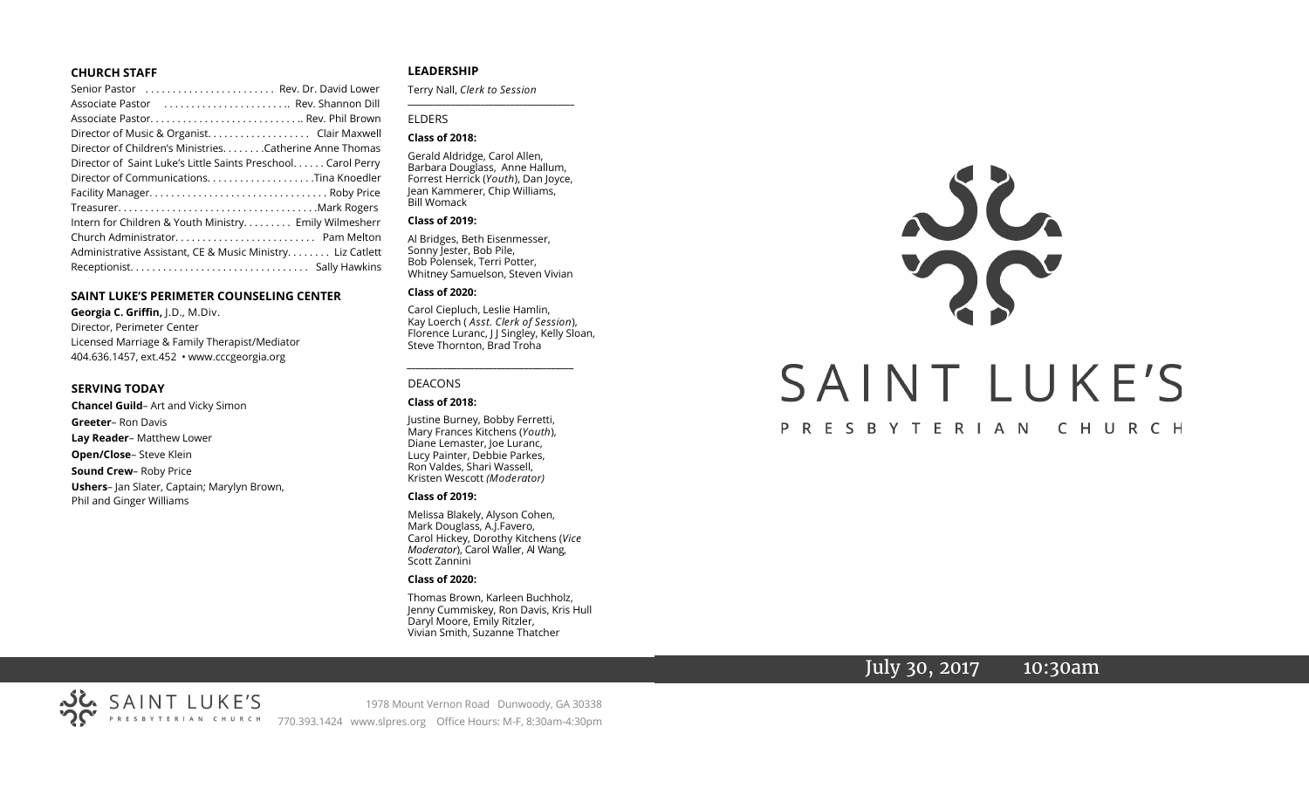#### **CHURCH STAFF**

| Senior Pastor  Rev. Dr. David Lower                          |
|--------------------------------------------------------------|
| Associate Pastor  Rev. Shannon Dill                          |
|                                                              |
| Director of Music & Organist. Clair Maxwell                  |
| Director of Children's Ministries. Catherine Anne Thomas     |
| Director of Saint Luke's Little Saints Preschool Carol Perry |
|                                                              |
|                                                              |
|                                                              |
| Intern for Children & Youth Ministry Emily Wilmesherr        |
|                                                              |
| Administrative Assistant, CE & Music Ministry Liz Catlett    |
|                                                              |

#### **SAINT LUKE'S PERIMETER COUNSELING CENTER**

**Georgia C. Griffin,** J.D., M.Div. Director, Perimeter Center Licensed Marriage & Family Therapist/Mediator 404.636.1457, ext.452 • www.cccgeorgia.org

#### **SERVING TODAY**

**Chancel Guild**– Art and Vicky Simon **Greeter**– Ron Davis **Lay Reader**– Matthew Lower **Open/Close**– Steve Klein **Sound Crew**– Roby Price **Ushers**– Jan Slater, Captain; Marylyn Brown, Phil and Ginger Williams

#### **LEADERSHIP**

Terry Nall, *Clerk to Session*  **\_\_\_\_\_\_\_\_\_\_\_\_\_\_\_\_\_\_\_\_\_\_\_\_\_\_\_\_\_\_\_\_\_\_\_\_\_\_\_**

#### ELDERS

#### **Class of 2018:**

Gerald Aldridge, Carol Allen, Barbara Douglass, Anne Hallum, Forrest Herrick (*Youth*), Dan Joyce, Jean Kammerer, Chip Williams, Bill Womack

#### **Class of 2019:**

Al Bridges, Beth Eisenmesser, Sonny Jester, Bob Pile, Bob Polensek, Terri Potter, Whitney Samuelson, Steven Vivian

#### **Class of 2020:**

Carol Ciepluch, Leslie Hamlin, Kay Loerch ( *Asst. Clerk of Session*), Florence Luranc, J J Singley, Kelly Sloan, Steve Thornton, Brad Troha

*\_\_\_\_\_\_\_\_\_\_\_\_\_\_\_\_\_\_\_\_\_\_\_\_\_\_\_\_\_\_\_\_\_\_\_\_\_*

#### DEACONS

#### **Class of 2018:**

Justine Burney, Bobby Ferretti, Mary Frances Kitchens (*Youth*), Diane Lemaster, Joe Luranc, Lucy Painter, Debbie Parkes, Ron Valdes, Shari Wassell, Kristen Wescott *(Moderator)*

#### **Class of 2019:**

Melissa Blakely, Alyson Cohen, Mark Douglass, A.J.Favero, Carol Hickey, Dorothy Kitchens (*Vice Moderator*), Carol Waller, Al Wang, Scott Zannini

#### **Class of 2020:**

Thomas Brown, Karleen Buchholz, Jenny Cummiskey, Ron Davis, Kris Hull Daryl Moore, Emily Ritzler, Vivian Smith, Suzanne Thatcher

# SAINT LUKE'S

#### PRESBYTERIAN CHURCH

## July 30, 2017 10:30am

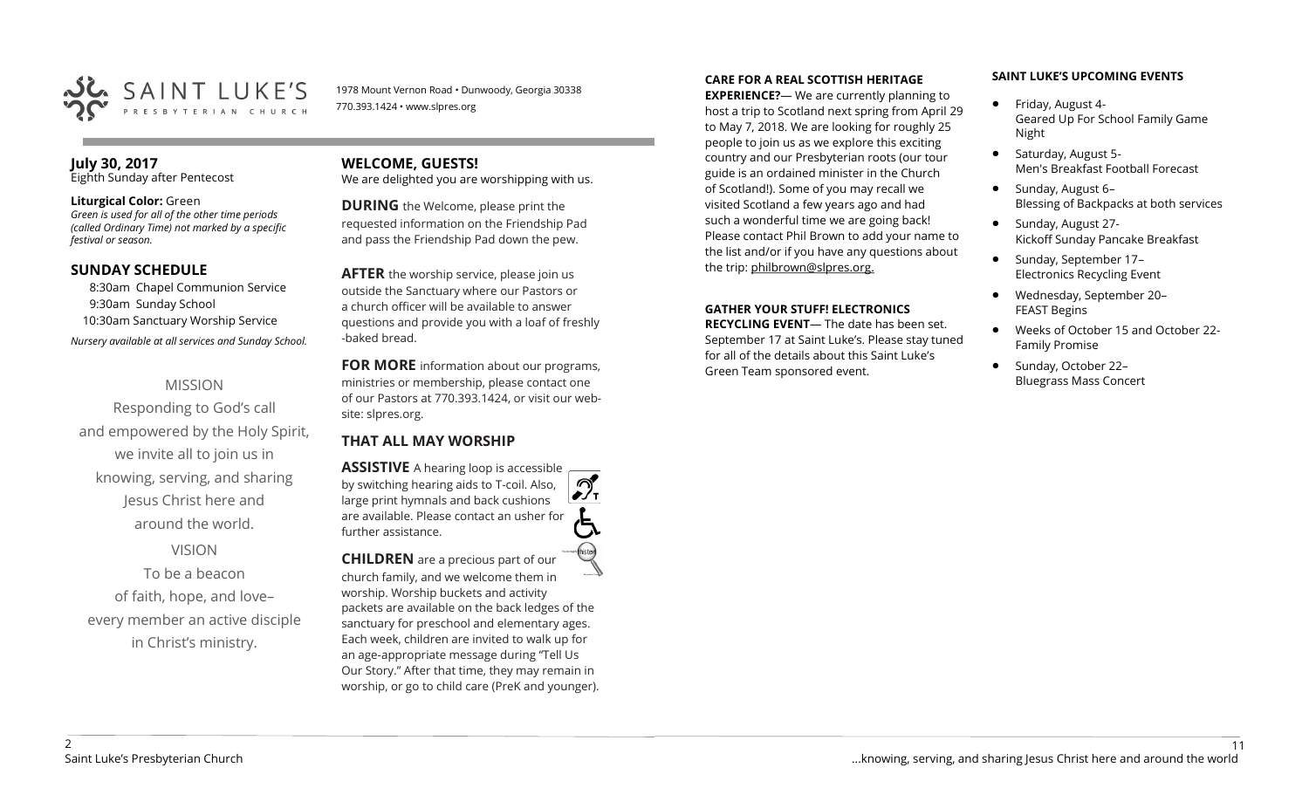

1978 Mount Vernon Road • Dunwoody, Georgia 30338 770.393.1424 • www.slpres.org

#### **July 30, 2017**  Eighth Sunday after Pentecost

#### **Liturgical Color:** Green

*Green is used for all of the other time periods (called Ordinary Time) not marked by a specific festival or season.*

#### **SUNDAY SCHEDULE**

8:30am Chapel Communion Service 9:30am Sunday School 10:30am Sanctuary Worship Service *Nursery available at all services and Sunday School.* 

#### MISSION

Responding to God's call and empowered by the Holy Spirit, we invite all to join us in knowing, serving, and sharing Jesus Christ here and around the world.

## VISION

To be a beacon of faith, hope, and love– every member an active disciple in Christ's ministry.

#### **WELCOME, GUESTS!**  We are delighted you are worshipping with us.

**DURING** the Welcome, please print the requested information on the Friendship Pad and pass the Friendship Pad down the pew.

**AFTER** the worship service, please join us outside the Sanctuary where our Pastors or a church officer will be available to answer questions and provide you with a loaf of freshly -baked bread.

**FOR MORE** information about our programs, ministries or membership, please contact one of our Pastors at 770.393.1424, or visit our website: slpres.org.

#### **THAT ALL MAY WORSHIP**

**ASSISTIVE** A hearing loop is accessible ീ by switching hearing aids to T-coil. Also,  $\frac{1}{\sqrt{1}}$ large print hymnals and back cushions are available. Please contact an usher for further assistance.

**CHILDREN** are a precious part of our church family, and we welcome them in worship. Worship buckets and activity packets are available on the back ledges of the sanctuary for preschool and elementary ages. Each week, children are invited to walk up for an age-appropriate message during "Tell Us Our Story." After that time, they may remain in worship, or go to child care (PreK and younger).

#### **CARE FOR A REAL SCOTTISH HERITAGE**

**EXPERIENCE?**— We are currently planning to host a trip to Scotland next spring from April 29 to May 7, 2018. We are looking for roughly 25 people to join us as we explore this exciting country and our Presbyterian roots (our tour guide is an ordained minister in the Church of Scotland!). Some of you may recall we visited Scotland a few years ago and had such a wonderful time we are going back! Please contact Phil Brown to add your name to the list and/or if you have any questions about the trip: philbrown@slpres.org.

#### **GATHER YOUR STUFF! ELECTRONICS**

**RECYCLING EVENT**— The date has been set. September 17 at Saint Luke's. Please stay tuned for all of the details about this Saint Luke's Green Team sponsored event.

#### **SAINT LUKE'S UPCOMING EVENTS**

- Friday, August 4-Geared Up For School Family Game Night
- Saturday, August 5-Men's Breakfast Football Forecast
- $\bullet$  Sunday, August 6-Blessing of Backpacks at both services
- Sunday, August 27-Kickoff Sunday Pancake Breakfast
- Sunday, September 17-Electronics Recycling Event
- Wednesday, September 20– FEAST Begins
- Weeks of October 15 and October 22- Family Promise
- Sunday, October 22-Bluegrass Mass Concert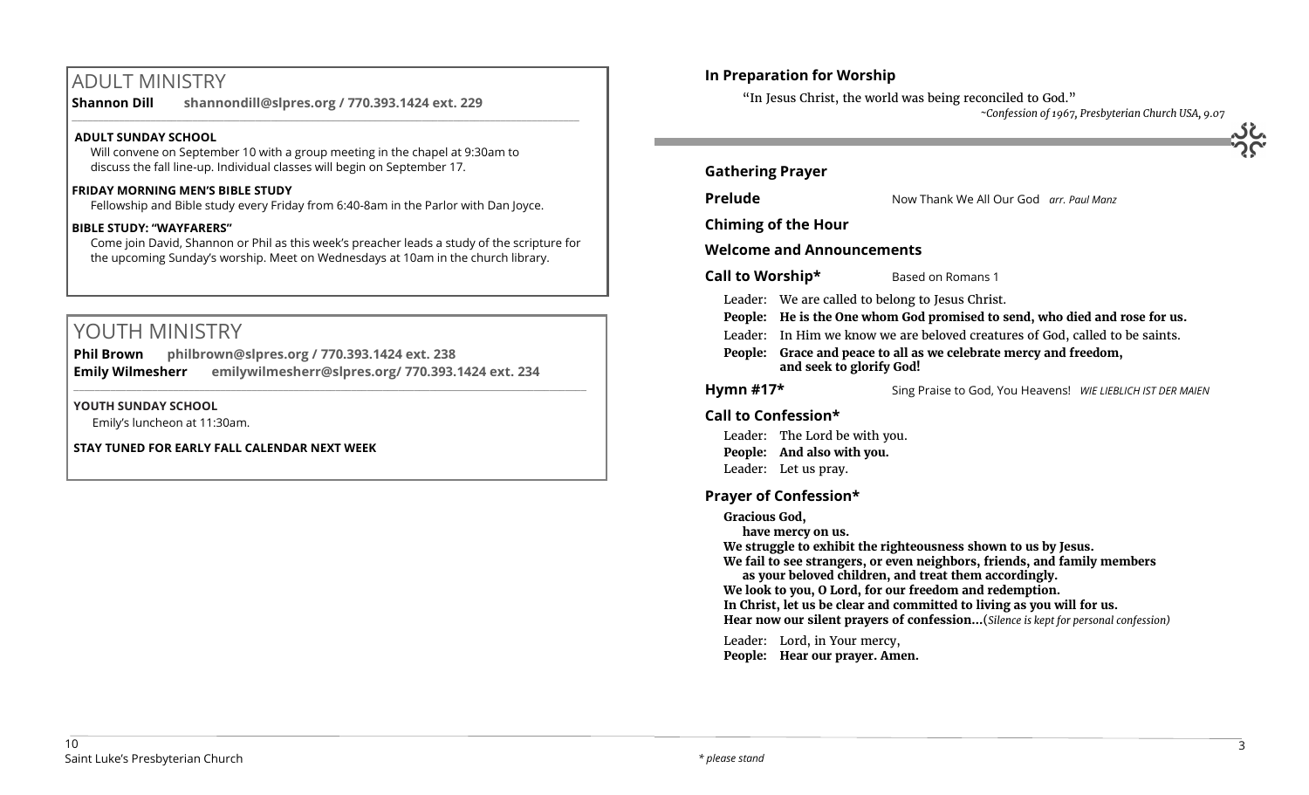# ADULT MINISTRY

**Shannon Dill shannondill@slpres.org / 770.393.1424 ext. 229** 

#### **ADULT SUNDAY SCHOOL**

Will convene on September 10 with a group meeting in the chapel at 9:30am to discuss the fall line-up. Individual classes will begin on September 17.

#### **FRIDAY MORNING MEN'S BIBLE STUDY**

Fellowship and Bible study every Friday from 6:40-8am in the Parlor with Dan Joyce.

 $\_$  ,  $\_$  ,  $\_$  ,  $\_$  ,  $\_$  ,  $\_$  ,  $\_$  ,  $\_$  ,  $\_$  ,  $\_$  ,  $\_$  ,  $\_$  ,  $\_$  ,  $\_$  ,  $\_$  ,  $\_$  ,  $\_$  ,  $\_$  ,  $\_$  ,  $\_$ 

#### **BIBLE STUDY: "WAYFARERS"**

Come join David, Shannon or Phil as this week's preacher leads a study of the scripture for the upcoming Sunday's worship. Meet on Wednesdays at 10am in the church library.

# YOUTH MINISTRY

**Phil Brown philbrown@slpres.org / 770.393.1424 ext. 238 Emily Wilmesherr emilywilmesherr@slpres.org/ 770.393.1424 ext. 234**   $\_$  ,  $\_$  ,  $\_$  ,  $\_$  ,  $\_$  ,  $\_$  ,  $\_$  ,  $\_$  ,  $\_$  ,  $\_$  ,  $\_$  ,  $\_$  ,  $\_$  ,  $\_$  ,  $\_$  ,  $\_$  ,  $\_$  ,  $\_$  ,  $\_$  ,  $\_$ 

#### **YOUTH SUNDAY SCHOOL**

Emily's luncheon at 11:30am.

**STAY TUNED FOR EARLY FALL CALENDAR NEXT WEEK**

#### **In Preparation for Worship**

"In Jesus Christ, the world was being reconciled to God."

*~Confession of 1967, Presbyterian Church USA, 9.07*

| <b>Prelude</b>   |                                                                                                                                                                                                                                                                                                                 | Now Thank We All Our God arr, Paul Manz                                                                                                                                                                                                                                                                                                                                                                                        |  |
|------------------|-----------------------------------------------------------------------------------------------------------------------------------------------------------------------------------------------------------------------------------------------------------------------------------------------------------------|--------------------------------------------------------------------------------------------------------------------------------------------------------------------------------------------------------------------------------------------------------------------------------------------------------------------------------------------------------------------------------------------------------------------------------|--|
|                  | <b>Chiming of the Hour</b>                                                                                                                                                                                                                                                                                      |                                                                                                                                                                                                                                                                                                                                                                                                                                |  |
|                  | <b>Welcome and Announcements</b>                                                                                                                                                                                                                                                                                |                                                                                                                                                                                                                                                                                                                                                                                                                                |  |
| Call to Worship* |                                                                                                                                                                                                                                                                                                                 | Based on Romans 1                                                                                                                                                                                                                                                                                                                                                                                                              |  |
|                  | Leader: We are called to belong to Jesus Christ.<br>People: He is the One whom God promised to send, who died and rose for us.<br>Leader: In Him we know we are beloved creatures of God, called to be saints.<br>People: Grace and peace to all as we celebrate mercy and freedom,<br>and seek to glorify God! |                                                                                                                                                                                                                                                                                                                                                                                                                                |  |
| Hymn $#17*$      |                                                                                                                                                                                                                                                                                                                 | Sing Praise to God, You Heavens! WIE LIEBLICH IST DER MAIEN                                                                                                                                                                                                                                                                                                                                                                    |  |
|                  | Call to Confession*                                                                                                                                                                                                                                                                                             |                                                                                                                                                                                                                                                                                                                                                                                                                                |  |
|                  | Leader: The Lord be with you.<br>People: And also with you.<br>Leader: Let us pray.                                                                                                                                                                                                                             |                                                                                                                                                                                                                                                                                                                                                                                                                                |  |
|                  | <b>Prayer of Confession*</b>                                                                                                                                                                                                                                                                                    |                                                                                                                                                                                                                                                                                                                                                                                                                                |  |
| Gracious God,    | have mercy on us.                                                                                                                                                                                                                                                                                               | We struggle to exhibit the righteousness shown to us by Jesus.<br>We fail to see strangers, or even neighbors, friends, and family members<br>as your beloved children, and treat them accordingly.<br>We look to you, O Lord, for our freedom and redemption.<br>In Christ, let us be clear and committed to living as you will for us.<br>Hear now our silent prayers of confession(Silence is kept for personal confession) |  |
|                  | Leader: Lord, in Your mercy,                                                                                                                                                                                                                                                                                    | People: Hear our prayer. Amen.                                                                                                                                                                                                                                                                                                                                                                                                 |  |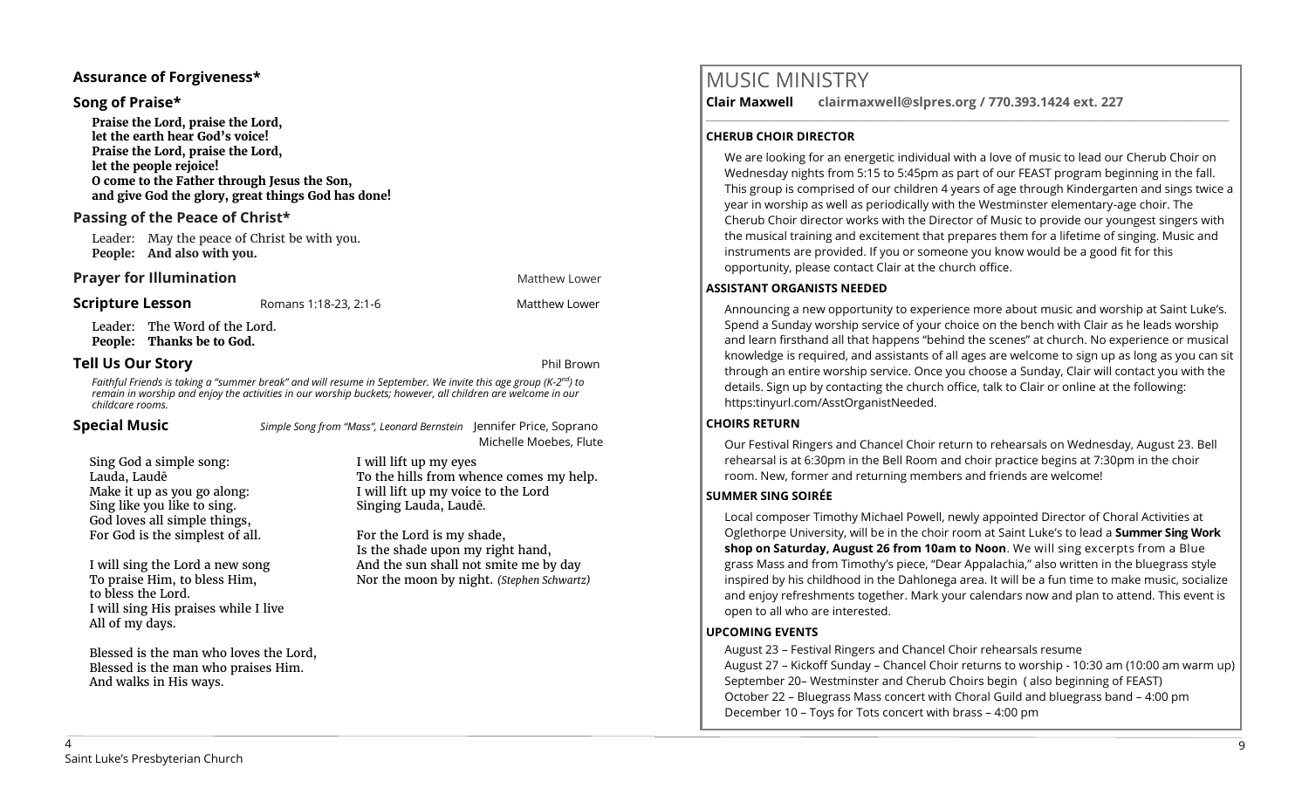#### **Assurance of Forgiveness\***

#### **Song of Praise\***

**Praise the Lord, praise the Lord, let the earth hear God's voice! Praise the Lord, praise the Lord, let the people rejoice! O come to the Father through Jesus the Son, and give God the glory, great things God has done!** 

#### **Passing of the Peace of Christ\***

Leader: May the peace of Christ be with you. **People: And also with you.**

#### **Prayer for Illumination Matthew Lower Matthew Lower Matthew Lower**

**Scripture Lesson** Romans 1:18-23, 2:1-6 Matthew Lower

Leader: The Word of the Lord.

**People: Thanks be to God.**

#### **Tell Us Our Story Phil Brown**

*Faithful Friends is taking a "summer break" and will resume in September. We invite this age group (K-2 nd) to remain in worship and enjoy the activities in our worship buckets; however, all children are welcome in our childcare rooms.*

**Special Music** *Simple Song from "Mass", Leonard Bernstein* Jennifer Price, Soprano Michelle Moebes, Flute

I will lift up my eyes

Sing God a simple song: Lauda, Laudē Make it up as you go along: Sing like you like to sing. God loves all simple things, For God is the simplest of all.

Singing Lauda, Laudē. For the Lord is my shade, Is the shade upon my right hand,

I will lift up my voice to the Lord

I will sing the Lord a new song To praise Him, to bless Him, to bless the Lord. I will sing His praises while I live All of my days.

Blessed is the man who loves the Lord, Blessed is the man who praises Him. And walks in His ways.

And the sun shall not smite me by day Nor the moon by night. *(Stephen Schwartz)*

To the hills from whence comes my help.

# MUSIC MINISTRY

**Clair Maxwell clairmaxwell@slpres.org / 770.393.1424 ext. 227** 

#### **CHERUB CHOIR DIRECTOR**

We are looking for an energetic individual with a love of music to lead our Cherub Choir on Wednesday nights from 5:15 to 5:45pm as part of our FEAST program beginning in the fall. This group is comprised of our children 4 years of age through Kindergarten and sings twice a year in worship as well as periodically with the Westminster elementary-age choir. The Cherub Choir director works with the Director of Music to provide our youngest singers with the musical training and excitement that prepares them for a lifetime of singing. Music and instruments are provided. If you or someone you know would be a good fit for this opportunity, please contact Clair at the church office.

\_\_\_\_\_\_\_\_\_\_\_\_\_\_\_\_\_\_\_\_\_\_\_\_\_\_\_\_\_\_\_\_\_\_\_\_\_\_\_\_\_\_\_\_\_\_\_\_\_\_\_\_\_\_\_\_\_\_\_\_\_\_\_\_\_\_\_\_\_\_\_\_\_\_\_\_\_\_\_\_\_\_\_\_\_\_\_\_\_\_\_\_\_\_\_\_\_\_\_\_

#### **ASSISTANT ORGANISTS NEEDED**

Announcing a new opportunity to experience more about music and worship at Saint Luke's. Spend a Sunday worship service of your choice on the bench with Clair as he leads worship and learn firsthand all that happens "behind the scenes" at church. No experience or musical knowledge is required, and assistants of all ages are welcome to sign up as long as you can sit through an entire worship service. Once you choose a Sunday, Clair will contact you with the details. Sign up by contacting the church office, talk to Clair or online at the following: https:tinyurl.com/AsstOrganistNeeded.

#### **CHOIRS RETURN**

Our Festival Ringers and Chancel Choir return to rehearsals on Wednesday, August 23. Bell rehearsal is at 6:30pm in the Bell Room and choir practice begins at 7:30pm in the choir room. New, former and returning members and friends are welcome!

#### **SUMMER SING SOIRÉE**

Local composer Timothy Michael Powell, newly appointed Director of Choral Activities at Oglethorpe University, will be in the choir room at Saint Luke's to lead a **Summer Sing Work shop on Saturday, August 26 from 10am to Noon**. We will sing excerpts from a Blue grass Mass and from Timothy's piece, "Dear Appalachia," also written in the bluegrass style inspired by his childhood in the Dahlonega area. It will be a fun time to make music, socialize and enjoy refreshments together. Mark your calendars now and plan to attend. This event is open to all who are interested.

#### **UPCOMING EVENTS**

August 23 – Festival Ringers and Chancel Choir rehearsals resume August 27 – Kickoff Sunday – Chancel Choir returns to worship - 10:30 am (10:00 am warm up) September 20– Westminster and Cherub Choirs begin ( also beginning of FEAST) October 22 – Bluegrass Mass concert with Choral Guild and bluegrass band – 4:00 pm December 10 – Toys for Tots concert with brass – 4:00 pm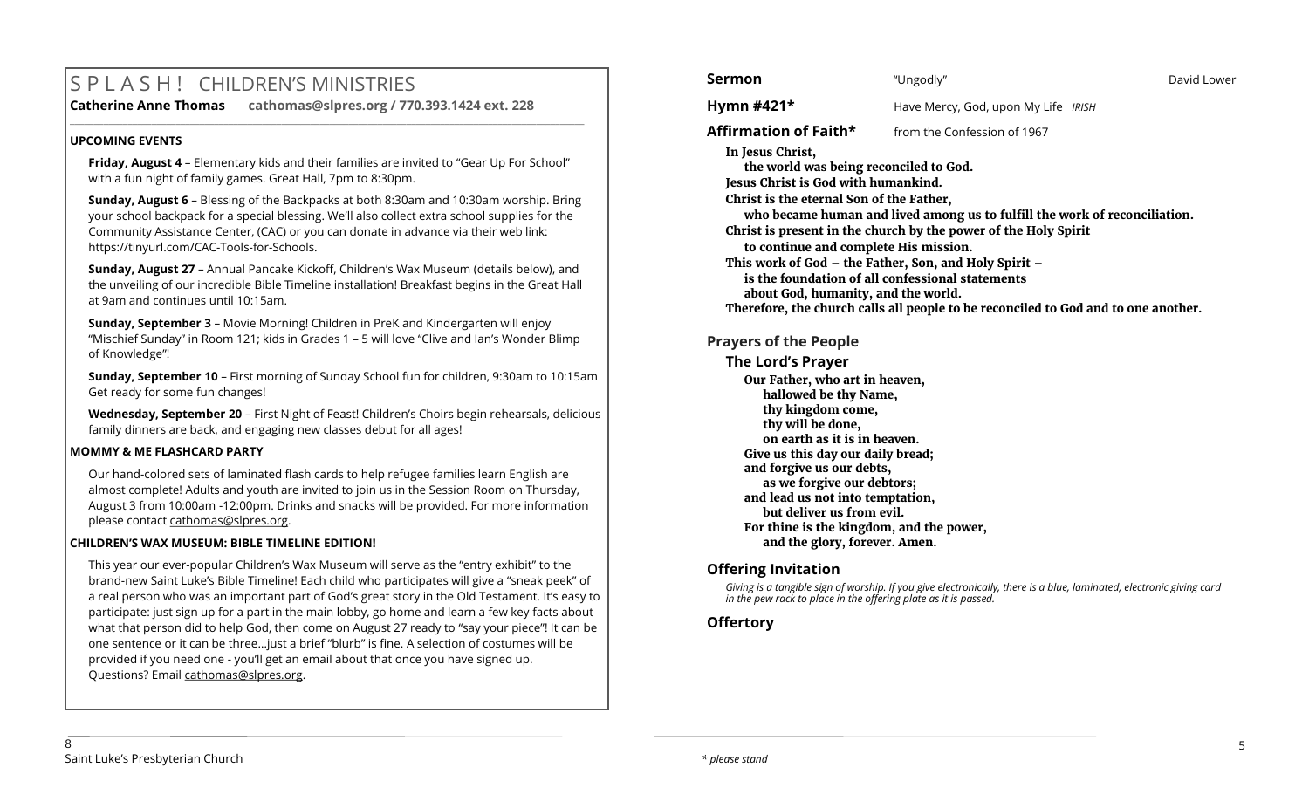# S P L A S H ! CHILDREN'S MINISTRIES

#### **Catherine Anne Thomas cathomas@slpres.org / 770.393.1424 ext. 228**

#### **UPCOMING EVENTS**

**Friday, August 4** – Elementary kids and their families are invited to "Gear Up For School" with a fun night of family games. Great Hall, 7pm to 8:30pm.

**\_\_\_\_\_\_\_\_\_\_\_\_\_\_\_\_\_\_\_\_\_\_\_\_\_\_\_\_\_\_\_\_\_\_\_\_\_\_\_\_\_\_\_\_\_\_\_\_\_\_\_\_\_\_\_\_\_\_\_\_\_\_\_\_\_\_\_\_\_\_\_\_\_\_\_\_\_\_\_\_\_\_\_\_\_\_\_\_\_\_\_\_\_\_\_\_\_\_\_\_\_\_\_\_\_\_\_** 

**Sunday, August 6** – Blessing of the Backpacks at both 8:30am and 10:30am worship. Bring your school backpack for a special blessing. We'll also collect extra school supplies for the Community Assistance Center, (CAC) or you can donate in advance via their web link: https://tinyurl.com/CAC-Tools-for-Schools.

**Sunday, August 27** – Annual Pancake Kickoff, Children's Wax Museum (details below), and the unveiling of our incredible Bible Timeline installation! Breakfast begins in the Great Hall at 9am and continues until 10:15am.

**Sunday, September 3** – Movie Morning! Children in PreK and Kindergarten will enjoy "Mischief Sunday" in Room 121; kids in Grades 1 – 5 will love "Clive and Ian's Wonder Blimp of Knowledge"!

**Sunday, September 10** – First morning of Sunday School fun for children, 9:30am to 10:15am Get ready for some fun changes!

**Wednesday, September 20** – First Night of Feast! Children's Choirs begin rehearsals, delicious family dinners are back, and engaging new classes debut for all ages!

#### **MOMMY & ME FLASHCARD PARTY**

Our hand-colored sets of laminated flash cards to help refugee families learn English are almost complete! Adults and youth are invited to join us in the Session Room on Thursday, August 3 from 10:00am -12:00pm. Drinks and snacks will be provided. For more information please contact [cathomas@slpres.org.](mailto:cathomas@slpres.org)

#### **CHILDREN'S WAX MUSEUM: BIBLE TIMELINE EDITION!**

This year our ever-popular Children's Wax Museum will serve as the "entry exhibit" to the brand-new Saint Luke's Bible Timeline! Each child who participates will give a "sneak peek" of a real person who was an important part of God's great story in the Old Testament. It's easy to participate: just sign up for a part in the main lobby, go home and learn a few key facts about what that person did to help God, then come on August 27 ready to "say your piece"! It can be one sentence or it can be three…just a brief "blurb" is fine. A selection of costumes will be provided if you need one - you'll get an email about that once you have signed up. Questions? Email [cathomas@slpres.org.](mailto:cathomas@slpres.org)

| Sermon                                                                                                                                                                                                                        | "Ungodly"                                                                                                                                                                                                                                                                                                                                        | David Lower |
|-------------------------------------------------------------------------------------------------------------------------------------------------------------------------------------------------------------------------------|--------------------------------------------------------------------------------------------------------------------------------------------------------------------------------------------------------------------------------------------------------------------------------------------------------------------------------------------------|-------------|
| Hymn $#421*$                                                                                                                                                                                                                  | Have Mercy, God, upon My Life IRISH                                                                                                                                                                                                                                                                                                              |             |
| Affirmation of Faith*                                                                                                                                                                                                         | from the Confession of 1967                                                                                                                                                                                                                                                                                                                      |             |
| In Jesus Christ,<br>the world was being reconciled to God.<br>Jesus Christ is God with humankind.<br>Christ is the eternal Son of the Father,<br>to continue and complete His mission.<br>about God, humanity, and the world. | who became human and lived among us to fulfill the work of reconciliation.<br>Christ is present in the church by the power of the Holy Spirit<br>This work of God - the Father, Son, and Holy Spirit -<br>is the foundation of all confessional statements<br>Therefore, the church calls all people to be reconciled to God and to one another. |             |
| <b>Prayers of the People</b>                                                                                                                                                                                                  |                                                                                                                                                                                                                                                                                                                                                  |             |
| <b>The Lord's Prayer</b>                                                                                                                                                                                                      |                                                                                                                                                                                                                                                                                                                                                  |             |

**Our Father, who art in heaven, hallowed be thy Name, thy kingdom come, thy will be done, on earth as it is in heaven. Give us this day our daily bread; and forgive us our debts, as we forgive our debtors; and lead us not into temptation, but deliver us from evil. For thine is the kingdom, and the power, and the glory, forever. Amen.** 

#### **Offering Invitation**

*Giving is a tangible sign of worship. If you give electronically, there is a blue, laminated, electronic giving card in the pew rack to place in the offering plate as it is passed.*

#### **Offertory**